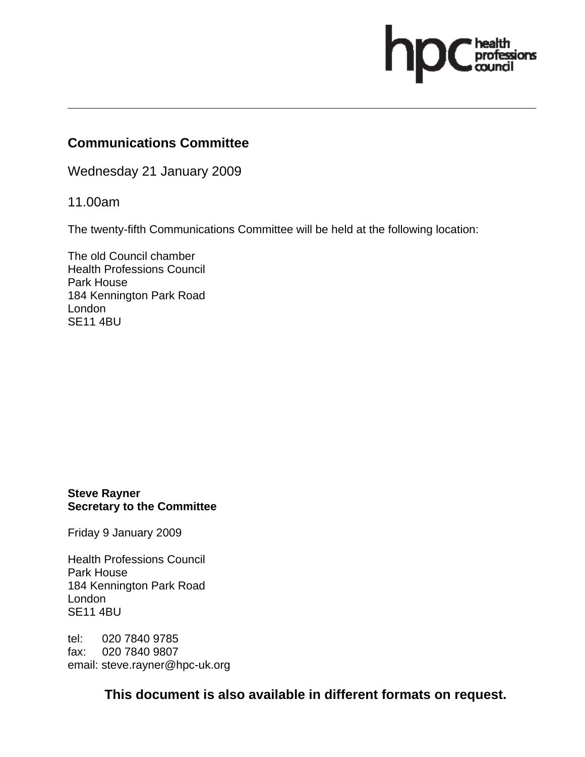# ssions

### **Communications Committee**

Wednesday 21 January 2009

11.00am

The twenty-fifth Communications Committee will be held at the following location:

The old Council chamber Health Professions Council Park House 184 Kennington Park Road London SE11 4BU

#### **Steve Rayner Secretary to the Committee**

Friday 9 January 2009

Health Professions Council Park House 184 Kennington Park Road London SE11 4BU

tel: 020 7840 9785 fax: 020 7840 9807 email: steve.rayner@hpc-uk.org

**This document is also available in different formats on request.**